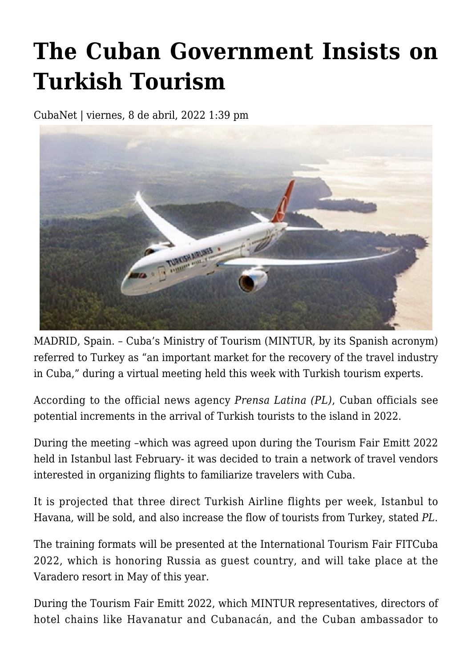## **[The Cuban Government Insists on](https://www.cubanet.org/english/the-cuban-government-insists-on-turkish-tourism/) [Turkish Tourism](https://www.cubanet.org/english/the-cuban-government-insists-on-turkish-tourism/)**

CubaNet | viernes, 8 de abril, 2022 1:39 pm



MADRID, Spain. – Cuba's Ministry of Tourism (MINTUR, by its Spanish acronym) referred to Turkey as "an important market for the recovery of the travel industry in Cuba," during a virtual meeting held this week with Turkish tourism experts.

According to the official news agency *Prensa Latina (PL)*, Cuban officials see potential increments in the arrival of Turkish tourists to the island in 2022.

During the meeting –which was agreed upon during the Tourism Fair Emitt 2022 held in Istanbul last February- it was decided to train a network of travel vendors interested in organizing flights to familiarize travelers with Cuba.

It is projected that three direct Turkish Airline flights per week, Istanbul to Havana, will be sold, and also increase the flow of tourists from Turkey, stated *PL*.

The training formats will be presented at the International Tourism Fair FITCuba 2022, which is honoring Russia as guest country, and will take place at the Varadero resort in May of this year.

During the Tourism Fair Emitt 2022, which MINTUR representatives, directors of hotel chains like Havanatur and Cubanacán, and the Cuban ambassador to